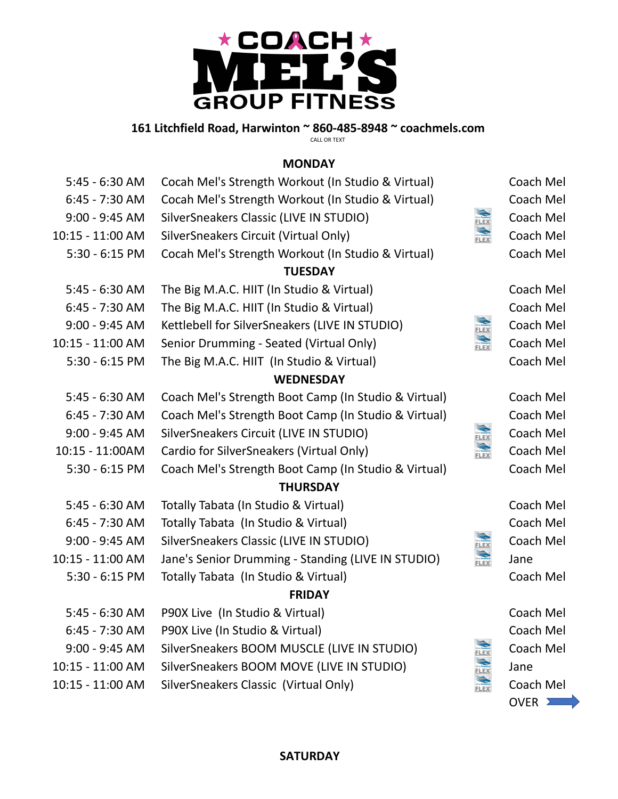

# **161 Litchfield Road, Harwinton ~ 860-485-8948 ~ coachmels.com**

CALL OR TEXT

#### **MONDAY**

| 5:45 - 6:30 AM   | Cocah Mel's Strength Workout (In Studio & Virtual)   |                                   | Coach Mel |  |  |
|------------------|------------------------------------------------------|-----------------------------------|-----------|--|--|
| $6:45 - 7:30$ AM | Cocah Mel's Strength Workout (In Studio & Virtual)   |                                   | Coach Mel |  |  |
| $9:00 - 9:45$ AM | SilverSneakers Classic (LIVE IN STUDIO)              | <b>FLEX</b>                       | Coach Mel |  |  |
| 10:15 - 11:00 AM | SilverSneakers Circuit (Virtual Only)                | Sive Spider                       | Coach Mel |  |  |
| $5:30 - 6:15$ PM | Cocah Mel's Strength Workout (In Studio & Virtual)   |                                   | Coach Mel |  |  |
|                  | <b>TUESDAY</b>                                       |                                   |           |  |  |
| 5:45 - 6:30 AM   | The Big M.A.C. HIIT (In Studio & Virtual)            |                                   | Coach Mel |  |  |
| $6:45 - 7:30$ AM | The Big M.A.C. HIIT (In Studio & Virtual)            |                                   | Coach Mel |  |  |
| $9:00 - 9:45$ AM | Kettlebell for SilverSneakers (LIVE IN STUDIO)       | <b>LEX</b>                        | Coach Mel |  |  |
| 10:15 - 11:00 AM | Senior Drumming - Seated (Virtual Only)              | SIVE <mark>SOLDANS</mark><br>FLEX | Coach Mel |  |  |
| $5:30 - 6:15$ PM | The Big M.A.C. HIIT (In Studio & Virtual)            |                                   | Coach Mel |  |  |
| <b>WEDNESDAY</b> |                                                      |                                   |           |  |  |
| 5:45 - 6:30 AM   | Coach Mel's Strength Boot Camp (In Studio & Virtual) |                                   | Coach Mel |  |  |
| $6:45 - 7:30$ AM | Coach Mel's Strength Boot Camp (In Studio & Virtual) |                                   | Coach Mel |  |  |
| $9:00 - 9:45$ AM | SilverSneakers Circuit (LIVE IN STUDIO)              | <b>FLEX</b>                       | Coach Mel |  |  |
| 10:15 - 11:00AM  | Cardio for SilverSneakers (Virtual Only)             | <b>FLEX</b>                       | Coach Mel |  |  |
| $5:30 - 6:15$ PM | Coach Mel's Strength Boot Camp (In Studio & Virtual) |                                   | Coach Mel |  |  |
|                  | <b>THURSDAY</b>                                      |                                   |           |  |  |
| 5:45 - 6:30 AM   | Totally Tabata (In Studio & Virtual)                 |                                   | Coach Mel |  |  |
| $6:45 - 7:30$ AM | Totally Tabata (In Studio & Virtual)                 |                                   | Coach Mel |  |  |
| $9:00 - 9:45$ AM | SilverSneakers Classic (LIVE IN STUDIO)              | <b>FLEX</b>                       | Coach Mel |  |  |
| 10:15 - 11:00 AM | Jane's Senior Drumming - Standing (LIVE IN STUDIO)   | Sive Souland                      | Jane      |  |  |
| $5:30 - 6:15$ PM | Totally Tabata (In Studio & Virtual)                 |                                   | Coach Mel |  |  |
|                  | <b>FRIDAY</b>                                        |                                   |           |  |  |
| $5:45 - 6:30$ AM | P90X Live (In Studio & Virtual)                      |                                   | Coach Mel |  |  |
| 6:45 - 7:30 AM   | P90X Live (In Studio & Virtual)                      |                                   | Coach Mel |  |  |
| $9:00 - 9:45$ AM | SilverSneakers BOOM MUSCLE (LIVE IN STUDIO)          | <b>FLEX</b>                       | Coach Mel |  |  |
| 10:15 - 11:00 AM | SilverSneakers BOOM MOVE (LIVE IN STUDIO)            | <b>FLEX</b>                       | Jane      |  |  |
| 10:15 - 11:00 AM | SilverSneakers Classic (Virtual Only)                | Sterfonders                       | Coach Mel |  |  |
|                  |                                                      |                                   | OVER 2    |  |  |

# **SATURDAY**